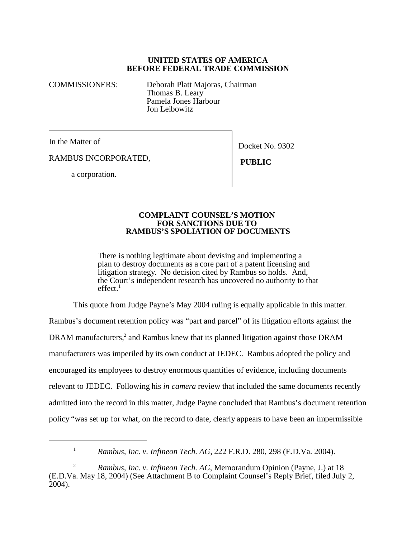## **UNITED STATES OF AMERICA BEFORE FEDERAL TRADE COMMISSION**

COMMISSIONERS: Deborah Platt Majoras, Chairman Thomas B. Leary Pamela Jones Harbour Jon Leibowitz

In the Matter of

Docket No. 9302

RAMBUS INCORPORATED,

 **PUBLIC**

a corporation.

## **COMPLAINT COUNSEL'S MOTION FOR SANCTIONS DUE TO RAMBUS'S SPOLIATION OF DOCUMENTS**

There is nothing legitimate about devising and implementing a plan to destroy documents as a core part of a patent licensing and litigation strategy. No decision cited by Rambus so holds. And, the Court's independent research has uncovered no authority to that  $effect.<sup>1</sup>$ 

This quote from Judge Payne's May 2004 ruling is equally applicable in this matter.

Rambus's document retention policy was "part and parcel" of its litigation efforts against the DRAM manufacturers,<sup>2</sup> and Rambus knew that its planned litigation against those DRAM manufacturers was imperiled by its own conduct at JEDEC. Rambus adopted the policy and encouraged its employees to destroy enormous quantities of evidence, including documents relevant to JEDEC. Following his *in camera* review that included the same documents recently admitted into the record in this matter, Judge Payne concluded that Rambus's document retention policy "was set up for what, on the record to date, clearly appears to have been an impermissible

<sup>&</sup>lt;sup>1</sup> *Rambus, Inc. v. Infineon Tech. AG, 222 F.R.D. 280, 298 (E.D.Va. 2004).* 

<sup>&</sup>lt;sup>2</sup> *Rambus, Inc. v. Infineon Tech. AG, Memorandum Opinion (Payne, J.) at 18* (E.D.Va. May 18, 2004) (See Attachment B to Complaint Counsel's Reply Brief, filed July 2, 2004).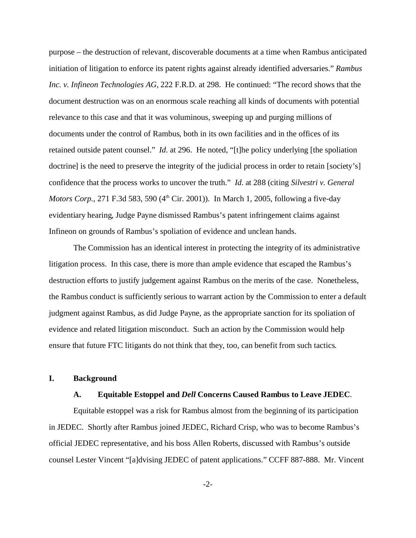purpose – the destruction of relevant, discoverable documents at a time when Rambus anticipated initiation of litigation to enforce its patent rights against already identified adversaries." *Rambus Inc. v. Infineon Technologies AG,* 222 F.R.D. at 298. He continued: "The record shows that the document destruction was on an enormous scale reaching all kinds of documents with potential relevance to this case and that it was voluminous, sweeping up and purging millions of documents under the control of Rambus, both in its own facilities and in the offices of its retained outside patent counsel." *Id*. at 296. He noted, "[t]he policy underlying [the spoliation doctrine] is the need to preserve the integrity of the judicial process in order to retain [society's] confidence that the process works to uncover the truth." *Id*. at 288 (citing *Silvestri v. General Motors Corp.*, 271 F.3d 583, 590 (4<sup>th</sup> Cir. 2001)). In March 1, 2005, following a five-day evidentiary hearing, Judge Payne dismissed Rambus's patent infringement claims against Infineon on grounds of Rambus's spoliation of evidence and unclean hands.

The Commission has an identical interest in protecting the integrity of its administrative litigation process. In this case, there is more than ample evidence that escaped the Rambus's destruction efforts to justify judgement against Rambus on the merits of the case. Nonetheless, the Rambus conduct is sufficiently serious to warrant action by the Commission to enter a default judgment against Rambus, as did Judge Payne, as the appropriate sanction for its spoliation of evidence and related litigation misconduct. Such an action by the Commission would help ensure that future FTC litigants do not think that they, too, can benefit from such tactics.

#### **I. Background**

#### **A. Equitable Estoppel and** *Dell* **Concerns Caused Rambus to Leave JEDEC**.

Equitable estoppel was a risk for Rambus almost from the beginning of its participation in JEDEC. Shortly after Rambus joined JEDEC, Richard Crisp, who was to become Rambus's official JEDEC representative, and his boss Allen Roberts, discussed with Rambus's outside counsel Lester Vincent "[a]dvising JEDEC of patent applications." CCFF 887-888. Mr. Vincent

-2-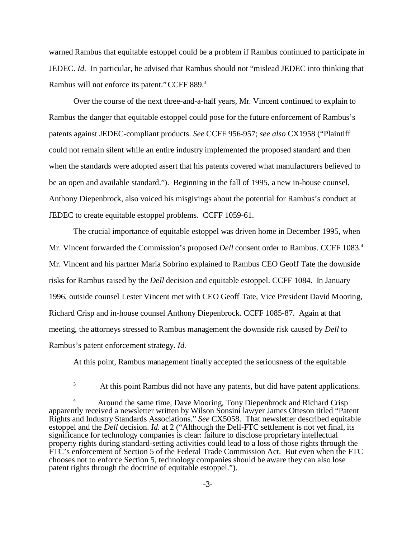warned Rambus that equitable estoppel could be a problem if Rambus continued to participate in JEDEC. *Id.* In particular, he advised that Rambus should not "mislead JEDEC into thinking that Rambus will not enforce its patent." CCFF 889.<sup>3</sup>

Over the course of the next three-and-a-half years, Mr. Vincent continued to explain to Rambus the danger that equitable estoppel could pose for the future enforcement of Rambus's patents against JEDEC-compliant products. *See* CCFF 956-957; *see also* CX1958 ("Plaintiff could not remain silent while an entire industry implemented the proposed standard and then when the standards were adopted assert that his patents covered what manufacturers believed to be an open and available standard."). Beginning in the fall of 1995, a new in-house counsel, Anthony Diepenbrock, also voiced his misgivings about the potential for Rambus's conduct at JEDEC to create equitable estoppel problems. CCFF 1059-61.

The crucial importance of equitable estoppel was driven home in December 1995, when Mr. Vincent forwarded the Commission's proposed *Dell* consent order to Rambus. CCFF 1083.<sup>4</sup> Mr. Vincent and his partner Maria Sobrino explained to Rambus CEO Geoff Tate the downside risks for Rambus raised by the *Dell* decision and equitable estoppel. CCFF 1084. In January 1996, outside counsel Lester Vincent met with CEO Geoff Tate, Vice President David Mooring, Richard Crisp and in-house counsel Anthony Diepenbrock. CCFF 1085-87. Again at that meeting, the attorneys stressed to Rambus management the downside risk caused by *Dell* to Rambus's patent enforcement strategy*. Id.* 

At this point, Rambus management finally accepted the seriousness of the equitable

<sup>3</sup> At this point Rambus did not have any patents, but did have patent applications.

<sup>&</sup>lt;sup>4</sup> Around the same time, Dave Mooring, Tony Diepenbrock and Richard Crisp apparently received a newsletter written by Wilson Sonsini lawyer James Otteson titled "Patent Rights and Industry Standards Associations." *See* CX5058. That newsletter described equitable estoppel and the *Dell* decision. *Id.* at 2 ("Although the Dell-FTC settlement is not yet final, its significance for technology companies is clear: failure to disclose proprietary intellectual property rights during standard-setting activities could lead to a loss of those rights through the FTC's enforcement of Section 5 of the Federal Trade Commission Act. But even when the FTC chooses not to enforce Section 5, technology companies should be aware they can also lose patent rights through the doctrine of equitable estoppel.").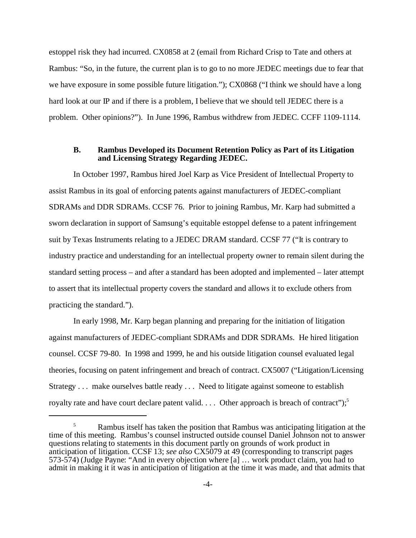estoppel risk they had incurred. CX0858 at 2 (email from Richard Crisp to Tate and others at Rambus: "So, in the future, the current plan is to go to no more JEDEC meetings due to fear that we have exposure in some possible future litigation."); CX0868 ("I think we should have a long hard look at our IP and if there is a problem, I believe that we should tell JEDEC there is a problem. Other opinions?"). In June 1996, Rambus withdrew from JEDEC. CCFF 1109-1114.

## **B. Rambus Developed its Document Retention Policy as Part of its Litigation and Licensing Strategy Regarding JEDEC.**

In October 1997, Rambus hired Joel Karp as Vice President of Intellectual Property to assist Rambus in its goal of enforcing patents against manufacturers of JEDEC-compliant SDRAMs and DDR SDRAMs. CCSF 76. Prior to joining Rambus, Mr. Karp had submitted a sworn declaration in support of Samsung's equitable estoppel defense to a patent infringement suit by Texas Instruments relating to a JEDEC DRAM standard. CCSF 77 ("It is contrary to industry practice and understanding for an intellectual property owner to remain silent during the standard setting process – and after a standard has been adopted and implemented – later attempt to assert that its intellectual property covers the standard and allows it to exclude others from practicing the standard.").

In early 1998, Mr. Karp began planning and preparing for the initiation of litigation against manufacturers of JEDEC-compliant SDRAMs and DDR SDRAMs. He hired litigation counsel. CCSF 79-80. In 1998 and 1999, he and his outside litigation counsel evaluated legal theories, focusing on patent infringement and breach of contract. CX5007 ("Litigation/Licensing Strategy . . . make ourselves battle ready . . . Need to litigate against someone to establish royalty rate and have court declare patent valid.  $\ldots$  Other approach is breach of contract");<sup>5</sup>

<sup>&</sup>lt;sup>5</sup> Rambus itself has taken the position that Rambus was anticipating litigation at the time of this meeting. Rambus's counsel instructed outside counsel Daniel Johnson not to answer questions relating to statements in this document partly on grounds of work product in anticipation of litigation. CCSF 13; *see also* CX5079 at 49 (corresponding to transcript pages 573-574) (Judge Payne: "And in every objection where [a] … work product claim, you had to admit in making it it was in anticipation of litigation at the time it was made, and that admits that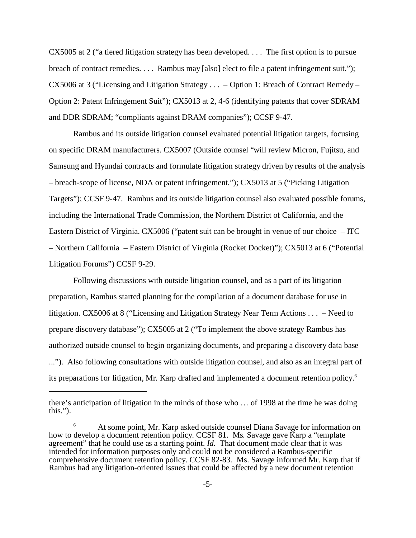CX5005 at 2 ("a tiered litigation strategy has been developed. . . . The first option is to pursue breach of contract remedies. . . . Rambus may [also] elect to file a patent infringement suit."); CX5006 at 3 ("Licensing and Litigation Strategy . . . – Option 1: Breach of Contract Remedy – Option 2: Patent Infringement Suit"); CX5013 at 2, 4-6 (identifying patents that cover SDRAM and DDR SDRAM; "compliants against DRAM companies"); CCSF 9-47.

Rambus and its outside litigation counsel evaluated potential litigation targets, focusing on specific DRAM manufacturers. CX5007 (Outside counsel "will review Micron, Fujitsu, and Samsung and Hyundai contracts and formulate litigation strategy driven by results of the analysis – breach-scope of license, NDA or patent infringement."); CX5013 at 5 ("Picking Litigation Targets"); CCSF 9-47. Rambus and its outside litigation counsel also evaluated possible forums, including the International Trade Commission, the Northern District of California, and the Eastern District of Virginia. CX5006 ("patent suit can be brought in venue of our choice – ITC – Northern California – Eastern District of Virginia (Rocket Docket)"); CX5013 at 6 ("Potential Litigation Forums") CCSF 9-29.

Following discussions with outside litigation counsel, and as a part of its litigation preparation, Rambus started planning for the compilation of a document database for use in litigation. CX5006 at 8 ("Licensing and Litigation Strategy Near Term Actions . . . – Need to prepare discovery database"); CX5005 at 2 ("To implement the above strategy Rambus has authorized outside counsel to begin organizing documents, and preparing a discovery data base ..."). Also following consultations with outside litigation counsel, and also as an integral part of its preparations for litigation, Mr. Karp drafted and implemented a document retention policy.6

there's anticipation of litigation in the minds of those who … of 1998 at the time he was doing this.").

At some point, Mr. Karp asked outside counsel Diana Savage for information on how to develop a document retention policy. CCSF 81. Ms. Savage gave Karp a "template agreement" that he could use as a starting point. *Id.* That document made clear that it was intended for information purposes only and could not be considered a Rambus-specific comprehensive document retention policy. CCSF 82-83*.* Ms. Savage informed Mr. Karp that if Rambus had any litigation-oriented issues that could be affected by a new document retention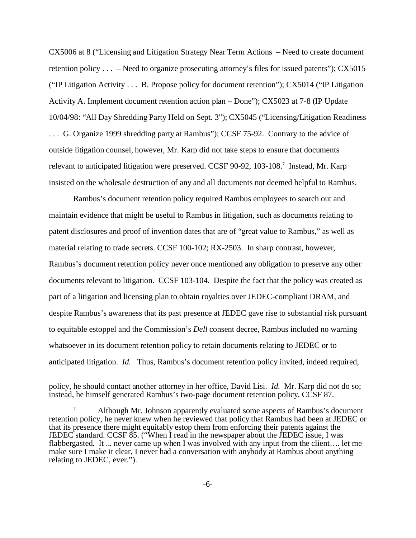CX5006 at 8 ("Licensing and Litigation Strategy Near Term Actions – Need to create document retention policy . . . – Need to organize prosecuting attorney's files for issued patents"); CX5015 ("IP Litigation Activity . . . B. Propose policy for document retention"); CX5014 ("IP Litigation Activity A. Implement document retention action plan – Done"); CX5023 at 7-8 (IP Update 10/04/98: "All Day Shredding Party Held on Sept. 3"); CX5045 ("Licensing/Litigation Readiness . . . G. Organize 1999 shredding party at Rambus"); CCSF 75-92. Contrary to the advice of outside litigation counsel, however, Mr. Karp did not take steps to ensure that documents relevant to anticipated litigation were preserved. CCSF 90-92, 103-108.<sup>7</sup> Instead, Mr. Karp insisted on the wholesale destruction of any and all documents not deemed helpful to Rambus.

Rambus's document retention policy required Rambus employees to search out and maintain evidence that might be useful to Rambus in litigation, such as documents relating to patent disclosures and proof of invention dates that are of "great value to Rambus," as well as material relating to trade secrets. CCSF 100-102; RX-2503. In sharp contrast, however, Rambus's document retention policy never once mentioned any obligation to preserve any other documents relevant to litigation. CCSF 103-104. Despite the fact that the policy was created as part of a litigation and licensing plan to obtain royalties over JEDEC-compliant DRAM, and despite Rambus's awareness that its past presence at JEDEC gave rise to substantial risk pursuant to equitable estoppel and the Commission's *Dell* consent decree, Rambus included no warning whatsoever in its document retention policy to retain documents relating to JEDEC or to anticipated litigation. *Id.* Thus, Rambus's document retention policy invited, indeed required,

policy, he should contact another attorney in her office, David Lisi. *Id.* Mr. Karp did not do so; instead, he himself generated Rambus's two-page document retention policy. CCSF 87.

Although Mr. Johnson apparently evaluated some aspects of Rambus's document retention policy, he never knew when he reviewed that policy that Rambus had been at JEDEC or that its presence there might equitably estop them from enforcing their patents against the JEDEC standard. CCSF 85. ("When I read in the newspaper about the JEDEC issue, I was flabbergasted. It ... never came up when I was involved with any input from the client.... let me make sure I make it clear, I never had a conversation with anybody at Rambus about anything relating to JEDEC, ever.").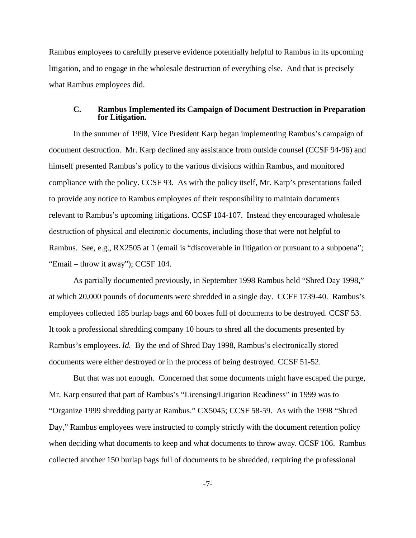Rambus employees to carefully preserve evidence potentially helpful to Rambus in its upcoming litigation, and to engage in the wholesale destruction of everything else. And that is precisely what Rambus employees did.

#### **C. Rambus Implemented its Campaign of Document Destruction in Preparation for Litigation.**

In the summer of 1998, Vice President Karp began implementing Rambus's campaign of document destruction. Mr. Karp declined any assistance from outside counsel (CCSF 94-96) and himself presented Rambus's policy to the various divisions within Rambus, and monitored compliance with the policy. CCSF 93. As with the policy itself, Mr. Karp's presentations failed to provide any notice to Rambus employees of their responsibility to maintain documents relevant to Rambus's upcoming litigations. CCSF 104-107. Instead they encouraged wholesale destruction of physical and electronic documents, including those that were not helpful to Rambus. See, e.g., RX2505 at 1 (email is "discoverable in litigation or pursuant to a subpoena"; "Email – throw it away"); CCSF 104.

As partially documented previously, in September 1998 Rambus held "Shred Day 1998," at which 20,000 pounds of documents were shredded in a single day. CCFF 1739-40. Rambus's employees collected 185 burlap bags and 60 boxes full of documents to be destroyed. CCSF 53. It took a professional shredding company 10 hours to shred all the documents presented by Rambus's employees. *Id.* By the end of Shred Day 1998, Rambus's electronically stored documents were either destroyed or in the process of being destroyed. CCSF 51-52.

But that was not enough. Concerned that some documents might have escaped the purge, Mr. Karp ensured that part of Rambus's "Licensing/Litigation Readiness" in 1999 was to "Organize 1999 shredding party at Rambus." CX5045; CCSF 58-59. As with the 1998 "Shred Day," Rambus employees were instructed to comply strictly with the document retention policy when deciding what documents to keep and what documents to throw away. CCSF 106. Rambus collected another 150 burlap bags full of documents to be shredded, requiring the professional

-7-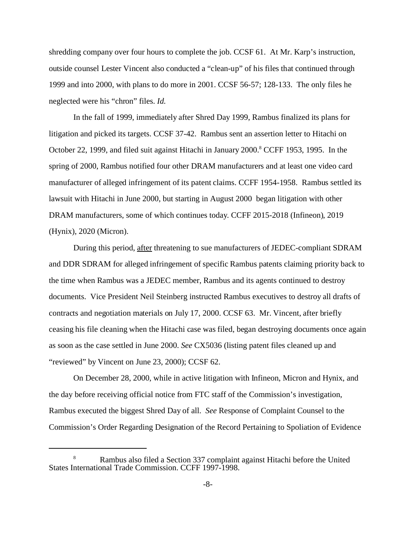shredding company over four hours to complete the job. CCSF 61. At Mr. Karp's instruction, outside counsel Lester Vincent also conducted a "clean-up" of his files that continued through 1999 and into 2000, with plans to do more in 2001. CCSF 56-57; 128-133. The only files he neglected were his "chron" files. *Id.*

In the fall of 1999, immediately after Shred Day 1999, Rambus finalized its plans for litigation and picked its targets. CCSF 37-42. Rambus sent an assertion letter to Hitachi on October 22, 1999, and filed suit against Hitachi in January 2000.<sup>8</sup> CCFF 1953, 1995. In the spring of 2000, Rambus notified four other DRAM manufacturers and at least one video card manufacturer of alleged infringement of its patent claims. CCFF 1954-1958. Rambus settled its lawsuit with Hitachi in June 2000, but starting in August 2000 began litigation with other DRAM manufacturers, some of which continues today. CCFF 2015-2018 (Infineon), 2019 (Hynix), 2020 (Micron).

During this period, after threatening to sue manufacturers of JEDEC-compliant SDRAM and DDR SDRAM for alleged infringement of specific Rambus patents claiming priority back to the time when Rambus was a JEDEC member, Rambus and its agents continued to destroy documents. Vice President Neil Steinberg instructed Rambus executives to destroy all drafts of contracts and negotiation materials on July 17, 2000. CCSF 63. Mr. Vincent, after briefly ceasing his file cleaning when the Hitachi case was filed, began destroying documents once again as soon as the case settled in June 2000. *See* CX5036 (listing patent files cleaned up and "reviewed" by Vincent on June 23, 2000); CCSF 62.

On December 28, 2000, while in active litigation with Infineon, Micron and Hynix, and the day before receiving official notice from FTC staff of the Commission's investigation, Rambus executed the biggest Shred Day of all. *See* Response of Complaint Counsel to the Commission's Order Regarding Designation of the Record Pertaining to Spoliation of Evidence

<sup>8</sup> Rambus also filed a Section 337 complaint against Hitachi before the United States International Trade Commission. CCFF 1997-1998.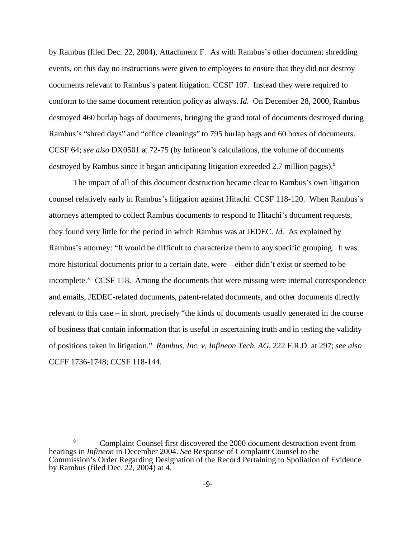by Rambus (filed Dec. 22, 2004), Attachment F.As with Rambus's other document shredding events, on this day no instructions were given to employees to ensure that they did not destroy documents relevant to Rambus's patent litigation. CCSF 107. Instead they were required to conform to the same document retention policy as always. *Id.* On December 28, 2000, Rambus destroyed 460 burlap bags of documents, bringing the grand total of documents destroyed during Rambus's "shred days" and "office cleanings" to 795 burlap bags and 60 boxes of documents. CCSF 64; *see also* DX0501 at 72-75 (by Infineon's calculations, the volume of documents destroyed by Rambus since it began anticipating litigation exceeded 2.7 million pages).<sup>9</sup>

The impact of all of this document destruction became clear to Rambus's own litigation counsel relatively early in Rambus's litigation against Hitachi. CCSF 118-120. When Rambus's attorneys attempted to collect Rambus documents to respond to Hitachi's document requests, they found very little for the period in which Rambus was at JEDEC. *Id.* As explained by Rambus's attorney: "It would be difficult to characterize them to any specific grouping. It was more historical documents prior to a certain date, were – either didn't exist or seemed to be incomplete." CCSF 118. Among the documents that were missing were internal correspondence and emails, JEDEC-related documents, patent-related documents, and other documents directly relevant to this case – in short, precisely "the kinds of documents usually generated in the course of business that contain information that is useful in ascertaining truth and in testing the validity of positions taken in litigation." *Rambus, Inc. v. Infineon Tech. AG*, 222 F.R.D. at 297; *see also* CCFF 1736-1748; CCSF 118-144.

<sup>9</sup> Complaint Counsel first discovered the 2000 document destruction event from hearings in *Infineon* in December 2004. *See* Response of Complaint Counsel to the Commission's Order Regarding Designation of the Record Pertaining to Spoliation of Evidence by Rambus (filed Dec. 22, 2004) at 4.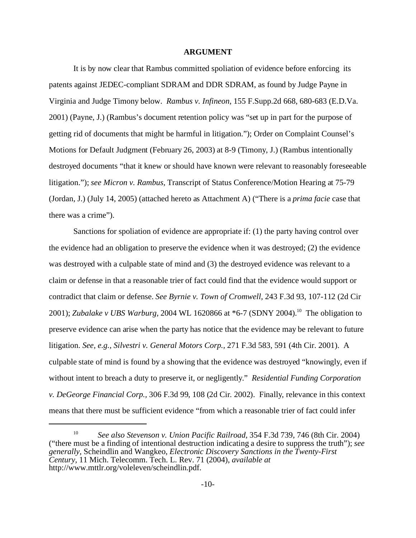#### **ARGUMENT**

It is by now clear that Rambus committed spoliation of evidence before enforcing its patents against JEDEC-compliant SDRAM and DDR SDRAM, as found by Judge Payne in Virginia and Judge Timony below. *Rambus v. Infineon,* 155 F.Supp.2d 668, 680-683 (E.D.Va. 2001) (Payne, J.) (Rambus's document retention policy was "set up in part for the purpose of getting rid of documents that might be harmful in litigation."); Order on Complaint Counsel's Motions for Default Judgment (February 26, 2003) at 8-9 (Timony, J.) (Rambus intentionally destroyed documents "that it knew or should have known were relevant to reasonably foreseeable litigation."); *see Micron v. Rambus,* Transcript of Status Conference/Motion Hearing at 75-79 (Jordan, J.) (July 14, 2005) (attached hereto as Attachment A) ("There is a *prima facie* case that there was a crime").

Sanctions for spoliation of evidence are appropriate if: (1) the party having control over the evidence had an obligation to preserve the evidence when it was destroyed; (2) the evidence was destroyed with a culpable state of mind and (3) the destroyed evidence was relevant to a claim or defense in that a reasonable trier of fact could find that the evidence would support or contradict that claim or defense. *See Byrnie v. Town of Cromwell,* 243 F.3d 93, 107-112 (2d Cir 2001); *Zubalake v UBS Warburg,* 2004 WL 1620866 at \*6-7 (SDNY 2004).<sup>10</sup> The obligation to preserve evidence can arise when the party has notice that the evidence may be relevant to future litigation. *See, e.g., Silvestri v. General Motors Corp.,* 271 F.3d 583, 591 (4th Cir. 2001). A culpable state of mind is found by a showing that the evidence was destroyed "knowingly, even if without intent to breach a duty to preserve it, or negligently." *Residential Funding Corporation v. DeGeorge Financial Corp.,* 306 F.3d 99, 108 (2d Cir. 2002). Finally, relevance in this context means that there must be sufficient evidence "from which a reasonable trier of fact could infer

<sup>10</sup> *See also Stevenson v. Union Pacific Railroad,* 354 F.3d 739, 746 (8th Cir. 2004) ("there must be a finding of intentional destruction indicating a desire to suppress the truth"); *see generally,* Scheindlin and Wangkeo, *Electronic Discovery Sanctions in the Twenty-First Century,* 11 Mich. Telecomm. Tech. L. Rev. 71 (2004), *available at* http://www.mttlr.org/voleleven/scheindlin.pdf.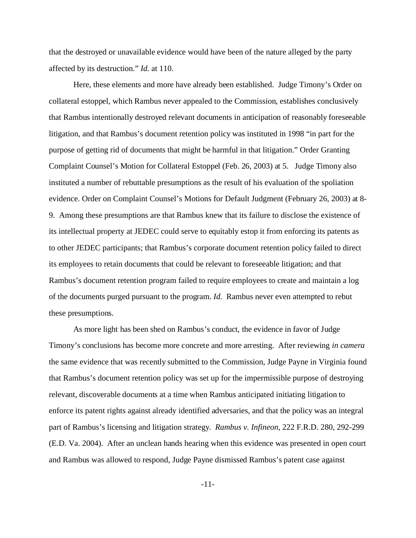that the destroyed or unavailable evidence would have been of the nature alleged by the party affected by its destruction." *Id.* at 110.

Here, these elements and more have already been established. Judge Timony's Order on collateral estoppel, which Rambus never appealed to the Commission, establishes conclusively that Rambus intentionally destroyed relevant documents in anticipation of reasonably foreseeable litigation, and that Rambus's document retention policy was instituted in 1998 "in part for the purpose of getting rid of documents that might be harmful in that litigation." Order Granting Complaint Counsel's Motion for Collateral Estoppel (Feb. 26, 2003) at 5. Judge Timony also instituted a number of rebuttable presumptions as the result of his evaluation of the spoliation evidence. Order on Complaint Counsel's Motions for Default Judgment (February 26, 2003) at 8- 9. Among these presumptions are that Rambus knew that its failure to disclose the existence of its intellectual property at JEDEC could serve to equitably estop it from enforcing its patents as to other JEDEC participants; that Rambus's corporate document retention policy failed to direct its employees to retain documents that could be relevant to foreseeable litigation; and that Rambus's document retention program failed to require employees to create and maintain a log of the documents purged pursuant to the program. *Id.* Rambus never even attempted to rebut these presumptions.

As more light has been shed on Rambus's conduct, the evidence in favor of Judge Timony's conclusions has become more concrete and more arresting. After reviewing *in camera* the same evidence that was recently submitted to the Commission, Judge Payne in Virginia found that Rambus's document retention policy was set up for the impermissible purpose of destroying relevant, discoverable documents at a time when Rambus anticipated initiating litigation to enforce its patent rights against already identified adversaries, and that the policy was an integral part of Rambus's licensing and litigation strategy. *Rambus v. Infineon,* 222 F.R.D. 280, 292-299 (E.D. Va. 2004). After an unclean hands hearing when this evidence was presented in open court and Rambus was allowed to respond, Judge Payne dismissed Rambus's patent case against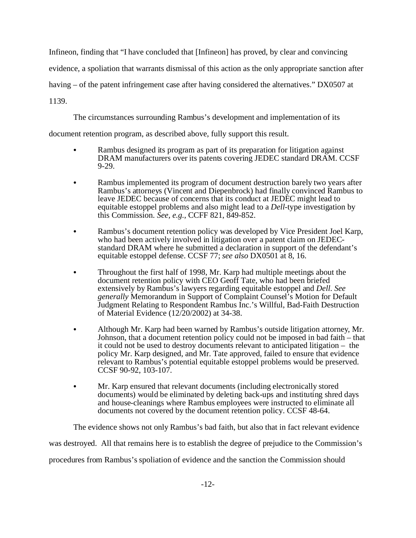Infineon, finding that "I have concluded that [Infineon] has proved, by clear and convincing evidence, a spoliation that warrants dismissal of this action as the only appropriate sanction after having – of the patent infringement case after having considered the alternatives." DX0507 at 1139.

The circumstances surrounding Rambus's development and implementation of its

document retention program, as described above, fully support this result.

- Rambus designed its program as part of its preparation for litigation against DRAM manufacturers over its patents covering JEDEC standard DRAM. CCSF 9-29.
- Rambus implemented its program of document destruction barely two years after Rambus's attorneys (Vincent and Diepenbrock) had finally convinced Rambus to leave JEDEC because of concerns that its conduct at JEDEC might lead to equitable estoppel problems and also might lead to a *Dell*-type investigation by this Commission. *See, e.g.,* CCFF 821, 849-852.
- Rambus's document retention policy was developed by Vice President Joel Karp, who had been actively involved in litigation over a patent claim on JEDECstandard DRAM where he submitted a declaration in support of the defendant's equitable estoppel defense. CCSF 77; *see also* DX0501 at 8, 16.
- Throughout the first half of 1998, Mr. Karp had multiple meetings about the document retention policy with CEO Geoff Tate, who had been briefed extensively by Rambus's lawyers regarding equitable estoppel and *Dell*. *See generally* Memorandum in Support of Complaint Counsel's Motion for Default Judgment Relating to Respondent Rambus Inc.'s Willful, Bad-Faith Destruction of Material Evidence (12/20/2002) at 34-38.
- Although Mr. Karp had been warned by Rambus's outside litigation attorney, Mr. Johnson, that a document retention policy could not be imposed in bad faith – that it could not be used to destroy documents relevant to anticipated litigation – the policy Mr. Karp designed, and Mr. Tate approved, failed to ensure that evidence relevant to Rambus's potential equitable estoppel problems would be preserved. CCSF 90-92, 103-107.
- Mr. Karp ensured that relevant documents (including electronically stored documents) would be eliminated by deleting back-ups and instituting shred days and house-cleanings where Rambus employees were instructed to eliminate all documents not covered by the document retention policy. CCSF 48-64.

The evidence shows not only Rambus's bad faith, but also that in fact relevant evidence was destroyed. All that remains here is to establish the degree of prejudice to the Commission's

procedures from Rambus's spoliation of evidence and the sanction the Commission should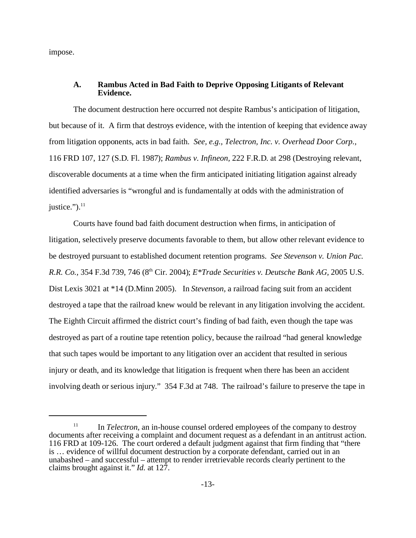impose.

### **A. Rambus Acted in Bad Faith to Deprive Opposing Litigants of Relevant Evidence.**

The document destruction here occurred not despite Rambus's anticipation of litigation, but because of it. A firm that destroys evidence, with the intention of keeping that evidence away from litigation opponents*,* acts in bad faith. *See, e.g., Telectron, Inc. v. Overhead Door Corp.,* 116 FRD 107, 127 (S.D. Fl. 1987); *Rambus v. Infineon,* 222 F.R.D. at 298 (Destroying relevant, discoverable documents at a time when the firm anticipated initiating litigation against already identified adversaries is "wrongful and is fundamentally at odds with the administration of justice." $)^{11}$ 

Courts have found bad faith document destruction when firms, in anticipation of litigation, selectively preserve documents favorable to them, but allow other relevant evidence to be destroyed pursuant to established document retention programs. *See Stevenson v. Union Pac. R.R. Co.,* 354 F.3d 739, 746 (8th Cir. 2004); *E\*Trade Securities v. Deutsche Bank AG,* 2005 U.S. Dist Lexis 3021 at \*14 (D.Minn 2005). In *Stevenson,* a railroad facing suit from an accident destroyed a tape that the railroad knew would be relevant in any litigation involving the accident. The Eighth Circuit affirmed the district court's finding of bad faith, even though the tape was destroyed as part of a routine tape retention policy, because the railroad "had general knowledge that such tapes would be important to any litigation over an accident that resulted in serious injury or death, and its knowledge that litigation is frequent when there has been an accident involving death or serious injury." 354 F.3d at 748. The railroad's failure to preserve the tape in

<sup>&</sup>lt;sup>11</sup> In *Telectron*, an in-house counsel ordered employees of the company to destroy documents after receiving a complaint and document request as a defendant in an antitrust action. 116 FRD at 109-126. The court ordered a default judgment against that firm finding that "there is … evidence of willful document destruction by a corporate defendant, carried out in an unabashed – and successful – attempt to render irretrievable records clearly pertinent to the claims brought against it." *Id.* at 127.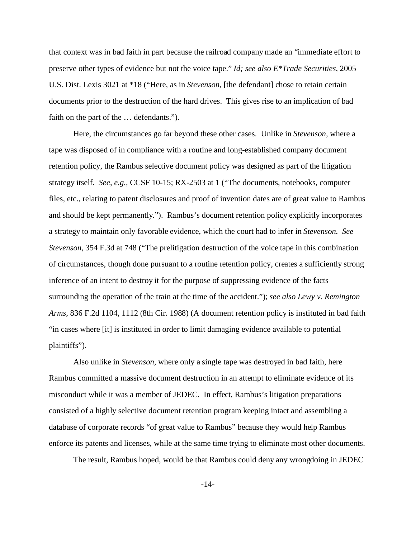that context was in bad faith in part because the railroad company made an "immediate effort to preserve other types of evidence but not the voice tape." *Id; see also E\*Trade Securities,* 2005 U.S. Dist. Lexis 3021 at \*18 ("Here, as in *Stevenson*, [the defendant] chose to retain certain documents prior to the destruction of the hard drives. This gives rise to an implication of bad faith on the part of the … defendants.").

Here, the circumstances go far beyond these other cases. Unlike in *Stevenson,* where a tape was disposed of in compliance with a routine and long-established company document retention policy, the Rambus selective document policy was designed as part of the litigation strategy itself. *See, e.g.,* CCSF 10-15; RX-2503 at 1 ("The documents, notebooks, computer files, etc., relating to patent disclosures and proof of invention dates are of great value to Rambus and should be kept permanently."). Rambus's document retention policy explicitly incorporates a strategy to maintain only favorable evidence, which the court had to infer in *Stevenson. See Stevenson,* 354 F.3d at 748 ("The prelitigation destruction of the voice tape in this combination of circumstances, though done pursuant to a routine retention policy, creates a sufficiently strong inference of an intent to destroy it for the purpose of suppressing evidence of the facts surrounding the operation of the train at the time of the accident."); *see also Lewy v. Remington Arms,* 836 F.2d 1104, 1112 (8th Cir. 1988) (A document retention policy is instituted in bad faith "in cases where [it] is instituted in order to limit damaging evidence available to potential plaintiffs").

Also unlike in *Stevenson,* where only a single tape was destroyed in bad faith, here Rambus committed a massive document destruction in an attempt to eliminate evidence of its misconduct while it was a member of JEDEC. In effect, Rambus's litigation preparations consisted of a highly selective document retention program keeping intact and assembling a database of corporate records "of great value to Rambus" because they would help Rambus enforce its patents and licenses, while at the same time trying to eliminate most other documents.

The result, Rambus hoped, would be that Rambus could deny any wrongdoing in JEDEC

-14-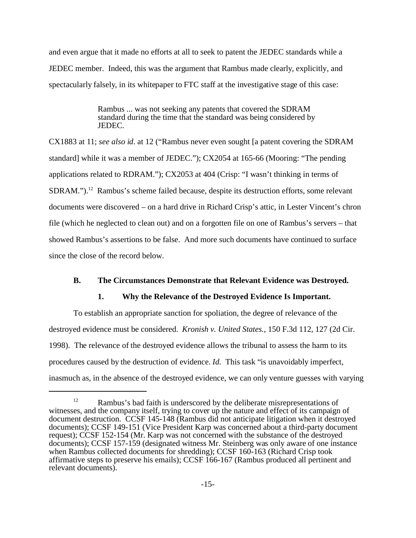and even argue that it made no efforts at all to seek to patent the JEDEC standards while a JEDEC member. Indeed, this was the argument that Rambus made clearly, explicitly, and spectacularly falsely, in its whitepaper to FTC staff at the investigative stage of this case:

> Rambus ... was not seeking any patents that covered the SDRAM standard during the time that the standard was being considered by JEDEC.

CX1883 at 11; *see also id*. at 12 ("Rambus never even sought [a patent covering the SDRAM standard] while it was a member of JEDEC."); CX2054 at 165-66 (Mooring: "The pending applications related to RDRAM."); CX2053 at 404 (Crisp: "I wasn't thinking in terms of SDRAM.").<sup>12</sup> Rambus's scheme failed because, despite its destruction efforts, some relevant documents were discovered – on a hard drive in Richard Crisp's attic, in Lester Vincent's chron file (which he neglected to clean out) and on a forgotten file on one of Rambus's servers – that showed Rambus's assertions to be false. And more such documents have continued to surface since the close of the record below.

## **B. The Circumstances Demonstrate that Relevant Evidence was Destroyed.**

## **1. Why the Relevance of the Destroyed Evidence Is Important.**

To establish an appropriate sanction for spoliation, the degree of relevance of the destroyed evidence must be considered. *Kronish v. United States.,* 150 F.3d 112, 127 (2d Cir. 1998). The relevance of the destroyed evidence allows the tribunal to assess the harm to its procedures caused by the destruction of evidence. *Id.* This task "is unavoidably imperfect, inasmuch as, in the absence of the destroyed evidence, we can only venture guesses with varying

<sup>&</sup>lt;sup>12</sup> Rambus's bad faith is underscored by the deliberate misrepresentations of witnesses, and the company itself, trying to cover up the nature and effect of its campaign of document destruction. CCSF 145-148 (Rambus did not anticipate litigation when it destroyed documents); CCSF 149-151 (Vice President Karp was concerned about a third-party document request); CCSF 152-154 (Mr. Karp was not concerned with the substance of the destroyed documents); CCSF 157-159 (designated witness Mr. Steinberg was only aware of one instance when Rambus collected documents for shredding); CCSF 160-163 (Richard Crisp took affirmative steps to preserve his emails); CCSF 166-167 (Rambus produced all pertinent and relevant documents).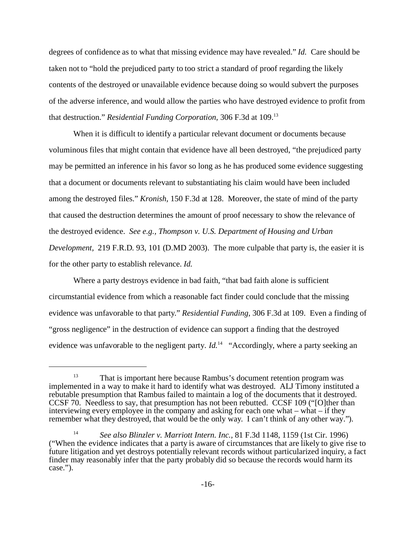degrees of confidence as to what that missing evidence may have revealed." *Id.* Care should be taken not to "hold the prejudiced party to too strict a standard of proof regarding the likely contents of the destroyed or unavailable evidence because doing so would subvert the purposes of the adverse inference, and would allow the parties who have destroyed evidence to profit from that destruction." *Residential Funding Corporation,* 306 F.3d at 109.<sup>13</sup>

When it is difficult to identify a particular relevant document or documents because voluminous files that might contain that evidence have all been destroyed, "the prejudiced party may be permitted an inference in his favor so long as he has produced some evidence suggesting that a document or documents relevant to substantiating his claim would have been included among the destroyed files." *Kronish,* 150 F.3d at 128. Moreover, the state of mind of the party that caused the destruction determines the amount of proof necessary to show the relevance of the destroyed evidence. *See e.g., Thompson v. U.S. Department of Housing and Urban Development,* 219 F.R.D. 93, 101 (D.MD 2003). The more culpable that party is, the easier it is for the other party to establish relevance. *Id.* 

Where a party destroys evidence in bad faith, "that bad faith alone is sufficient circumstantial evidence from which a reasonable fact finder could conclude that the missing evidence was unfavorable to that party." *Residential Funding,* 306 F.3d at 109. Even a finding of "gross negligence" in the destruction of evidence can support a finding that the destroyed evidence was unfavorable to the negligent party. *Id.*<sup>14</sup> "Accordingly, where a party seeking an

<sup>&</sup>lt;sup>13</sup> That is important here because Rambus's document retention program was implemented in a way to make it hard to identify what was destroyed. ALJ Timony instituted a rebutable presumption that Rambus failed to maintain a log of the documents that it destroyed. CCSF 70. Needless to say, that presumption has not been rebutted. CCSF 109 ("[O]ther than interviewing every employee in the company and asking for each one what – what – if they remember what they destroyed, that would be the only way. I can't think of any other way.").

<sup>14</sup> *See also Blinzler v. Marriott Intern. Inc.,* 81 F.3d 1148, 1159 (1st Cir. 1996) ("When the evidence indicates that a party is aware of circumstances that are likely to give rise to future litigation and yet destroys potentially relevant records without particularized inquiry, a fact finder may reasonably infer that the party probably did so because the records would harm its case.").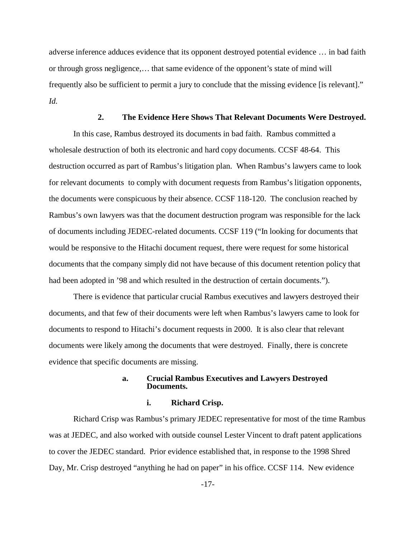adverse inference adduces evidence that its opponent destroyed potential evidence … in bad faith or through gross negligence,… that same evidence of the opponent's state of mind will frequently also be sufficient to permit a jury to conclude that the missing evidence [is relevant]." *Id.*

#### **2. The Evidence Here Shows That Relevant Documents Were Destroyed.**

In this case, Rambus destroyed its documents in bad faith. Rambus committed a wholesale destruction of both its electronic and hard copy documents. CCSF 48-64. This destruction occurred as part of Rambus's litigation plan. When Rambus's lawyers came to look for relevant documents to comply with document requests from Rambus's litigation opponents, the documents were conspicuous by their absence. CCSF 118-120. The conclusion reached by Rambus's own lawyers was that the document destruction program was responsible for the lack of documents including JEDEC-related documents. CCSF 119 ("In looking for documents that would be responsive to the Hitachi document request, there were request for some historical documents that the company simply did not have because of this document retention policy that had been adopted in '98 and which resulted in the destruction of certain documents.").

There is evidence that particular crucial Rambus executives and lawyers destroyed their documents, and that few of their documents were left when Rambus's lawyers came to look for documents to respond to Hitachi's document requests in 2000. It is also clear that relevant documents were likely among the documents that were destroyed. Finally, there is concrete evidence that specific documents are missing.

### **a. Crucial Rambus Executives and Lawyers Destroyed Documents.**

#### **i. Richard Crisp.**

Richard Crisp was Rambus's primary JEDEC representative for most of the time Rambus was at JEDEC, and also worked with outside counsel Lester Vincent to draft patent applications to cover the JEDEC standard. Prior evidence established that, in response to the 1998 Shred Day, Mr. Crisp destroyed "anything he had on paper" in his office. CCSF 114. New evidence

-17-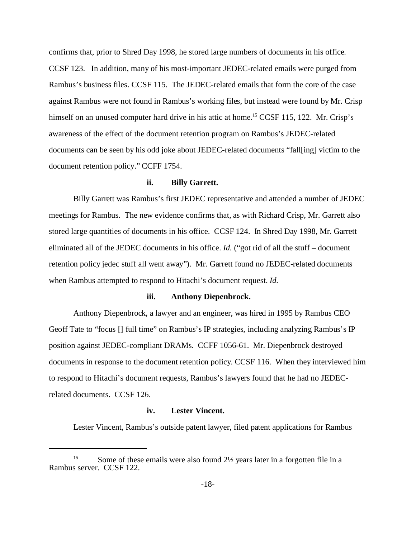confirms that, prior to Shred Day 1998, he stored large numbers of documents in his office. CCSF 123. In addition, many of his most-important JEDEC-related emails were purged from Rambus's business files. CCSF 115. The JEDEC-related emails that form the core of the case against Rambus were not found in Rambus's working files, but instead were found by Mr. Crisp himself on an unused computer hard drive in his attic at home.<sup>15</sup> CCSF 115, 122. Mr. Crisp's awareness of the effect of the document retention program on Rambus's JEDEC-related documents can be seen by his odd joke about JEDEC-related documents "fall[ing] victim to the document retention policy." CCFF 1754.

#### **ii. Billy Garrett.**

Billy Garrett was Rambus's first JEDEC representative and attended a number of JEDEC meetings for Rambus. The new evidence confirms that, as with Richard Crisp, Mr. Garrett also stored large quantities of documents in his office. CCSF 124. In Shred Day 1998, Mr. Garrett eliminated all of the JEDEC documents in his office. *Id.* ("got rid of all the stuff – document retention policy jedec stuff all went away"). Mr. Garrett found no JEDEC-related documents when Rambus attempted to respond to Hitachi's document request. *Id.*

#### **iii. Anthony Diepenbrock.**

Anthony Diepenbrock, a lawyer and an engineer, was hired in 1995 by Rambus CEO Geoff Tate to "focus [] full time" on Rambus's IP strategies, including analyzing Rambus's IP position against JEDEC-compliant DRAMs. CCFF 1056-61. Mr. Diepenbrock destroyed documents in response to the document retention policy. CCSF 116. When they interviewed him to respond to Hitachi's document requests, Rambus's lawyers found that he had no JEDECrelated documents. CCSF 126.

## **iv. Lester Vincent.**

Lester Vincent, Rambus's outside patent lawyer, filed patent applications for Rambus

Some of these emails were also found  $2\frac{1}{2}$  years later in a forgotten file in a Rambus server. CCSF 122.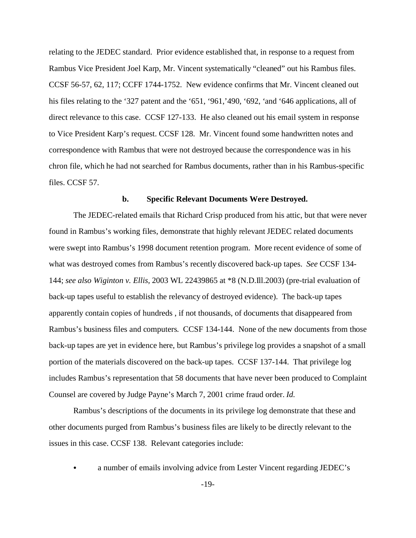relating to the JEDEC standard. Prior evidence established that, in response to a request from Rambus Vice President Joel Karp, Mr. Vincent systematically "cleaned" out his Rambus files. CCSF 56-57, 62, 117; CCFF 1744-1752. New evidence confirms that Mr. Vincent cleaned out his files relating to the '327 patent and the '651, '961,'490, '692, 'and '646 applications, all of direct relevance to this case. CCSF 127-133. He also cleaned out his email system in response to Vice President Karp's request. CCSF 128. Mr. Vincent found some handwritten notes and correspondence with Rambus that were not destroyed because the correspondence was in his chron file, which he had not searched for Rambus documents, rather than in his Rambus-specific files. CCSF 57.

#### **b. Specific Relevant Documents Were Destroyed.**

The JEDEC-related emails that Richard Crisp produced from his attic, but that were never found in Rambus's working files, demonstrate that highly relevant JEDEC related documents were swept into Rambus's 1998 document retention program. More recent evidence of some of what was destroyed comes from Rambus's recently discovered back-up tapes. *See* CCSF 134- 144; *see also Wiginton v. Ellis,* 2003 WL 22439865 at \*8 (N.D.Ill.2003) (pre-trial evaluation of back-up tapes useful to establish the relevancy of destroyed evidence). The back-up tapes apparently contain copies of hundreds , if not thousands, of documents that disappeared from Rambus's business files and computers. CCSF 134-144. None of the new documents from those back-up tapes are yet in evidence here, but Rambus's privilege log provides a snapshot of a small portion of the materials discovered on the back-up tapes. CCSF 137-144. That privilege log includes Rambus's representation that 58 documents that have never been produced to Complaint Counsel are covered by Judge Payne's March 7, 2001 crime fraud order. *Id.* 

Rambus's descriptions of the documents in its privilege log demonstrate that these and other documents purged from Rambus's business files are likely to be directly relevant to the issues in this case. CCSF 138. Relevant categories include:

a number of emails involving advice from Lester Vincent regarding JEDEC's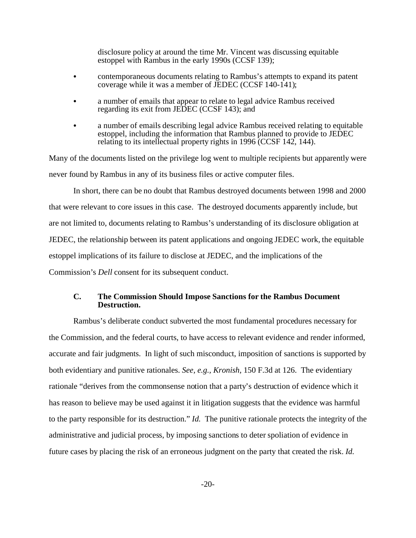disclosure policy at around the time Mr. Vincent was discussing equitable estoppel with Rambus in the early 1990s (CCSF 139);

- contemporaneous documents relating to Rambus's attempts to expand its patent coverage while it was a member of JEDEC (CCSF 140-141);
- a number of emails that appear to relate to legal advice Rambus received regarding its exit from JEDEC (CCSF 143); and
- a number of emails describing legal advice Rambus received relating to equitable estoppel, including the information that Rambus planned to provide to JEDEC relating to its intellectual property rights in 1996 (CCSF 142, 144).

Many of the documents listed on the privilege log went to multiple recipients but apparently were never found by Rambus in any of its business files or active computer files.

In short, there can be no doubt that Rambus destroyed documents between 1998 and 2000 that were relevant to core issues in this case. The destroyed documents apparently include, but are not limited to, documents relating to Rambus's understanding of its disclosure obligation at JEDEC, the relationship between its patent applications and ongoing JEDEC work, the equitable estoppel implications of its failure to disclose at JEDEC, and the implications of the Commission's *Dell* consent for its subsequent conduct.

## **C. The Commission Should Impose Sanctions for the Rambus Document Destruction.**

Rambus's deliberate conduct subverted the most fundamental procedures necessary for the Commission, and the federal courts, to have access to relevant evidence and render informed, accurate and fair judgments. In light of such misconduct, imposition of sanctions is supported by both evidentiary and punitive rationales. *See, e.g., Kronish,* 150 F.3d at 126. The evidentiary rationale "derives from the commonsense notion that a party's destruction of evidence which it has reason to believe may be used against it in litigation suggests that the evidence was harmful to the party responsible for its destruction." *Id.* The punitive rationale protects the integrity of the administrative and judicial process, by imposing sanctions to deter spoliation of evidence in future cases by placing the risk of an erroneous judgment on the party that created the risk. *Id.*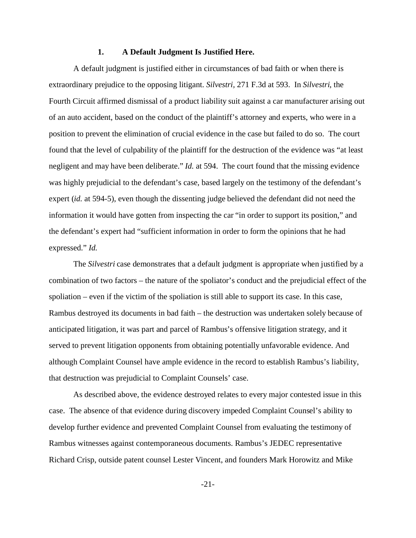#### **1. A Default Judgment Is Justified Here.**

A default judgment is justified either in circumstances of bad faith or when there is extraordinary prejudice to the opposing litigant. *Silvestri,* 271 F.3d at 593. In *Silvestri*, the Fourth Circuit affirmed dismissal of a product liability suit against a car manufacturer arising out of an auto accident, based on the conduct of the plaintiff's attorney and experts, who were in a position to prevent the elimination of crucial evidence in the case but failed to do so. The court found that the level of culpability of the plaintiff for the destruction of the evidence was "at least negligent and may have been deliberate." *Id.* at 594. The court found that the missing evidence was highly prejudicial to the defendant's case, based largely on the testimony of the defendant's expert (*id.* at 594-5), even though the dissenting judge believed the defendant did not need the information it would have gotten from inspecting the car "in order to support its position," and the defendant's expert had "sufficient information in order to form the opinions that he had expressed." *Id.* 

The *Silvestri* case demonstrates that a default judgment is appropriate when justified by a combination of two factors – the nature of the spoliator's conduct and the prejudicial effect of the spoliation – even if the victim of the spoliation is still able to support its case. In this case, Rambus destroyed its documents in bad faith – the destruction was undertaken solely because of anticipated litigation, it was part and parcel of Rambus's offensive litigation strategy, and it served to prevent litigation opponents from obtaining potentially unfavorable evidence. And although Complaint Counsel have ample evidence in the record to establish Rambus's liability, that destruction was prejudicial to Complaint Counsels' case.

As described above, the evidence destroyed relates to every major contested issue in this case. The absence of that evidence during discovery impeded Complaint Counsel's ability to develop further evidence and prevented Complaint Counsel from evaluating the testimony of Rambus witnesses against contemporaneous documents. Rambus's JEDEC representative Richard Crisp, outside patent counsel Lester Vincent, and founders Mark Horowitz and Mike

-21-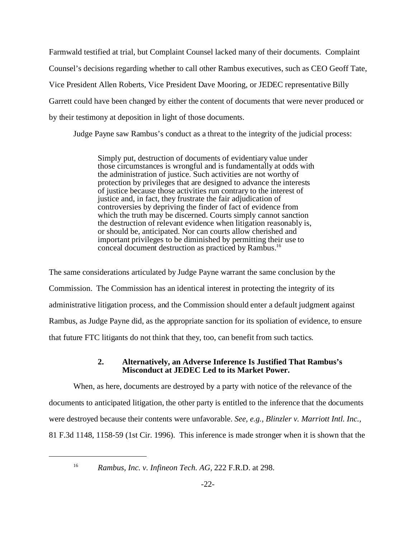Farmwald testified at trial, but Complaint Counsel lacked many of their documents. Complaint Counsel's decisions regarding whether to call other Rambus executives, such as CEO Geoff Tate, Vice President Allen Roberts, Vice President Dave Mooring, or JEDEC representative Billy Garrett could have been changed by either the content of documents that were never produced or by their testimony at deposition in light of those documents.

Judge Payne saw Rambus's conduct as a threat to the integrity of the judicial process:

Simply put, destruction of documents of evidentiary value under those circumstances is wrongful and is fundamentally at odds with the administration of justice. Such activities are not worthy of protection by privileges that are designed to advance the interests of justice because those activities run contrary to the interest of justice and, in fact, they frustrate the fair adjudication of controversies by depriving the finder of fact of evidence from which the truth may be discerned. Courts simply cannot sanction the destruction of relevant evidence when litigation reasonably is, or should be, anticipated. Nor can courts allow cherished and important privileges to be diminished by permitting their use to conceal document destruction as practiced by Rambus.<sup>16</sup>

The same considerations articulated by Judge Payne warrant the same conclusion by the Commission. The Commission has an identical interest in protecting the integrity of its administrative litigation process, and the Commission should enter a default judgment against Rambus, as Judge Payne did, as the appropriate sanction for its spoliation of evidence, to ensure that future FTC litigants do not think that they, too, can benefit from such tactics.

# **2. Alternatively, an Adverse Inference Is Justified That Rambus's Misconduct at JEDEC Led to its Market Power.**

When, as here, documents are destroyed by a party with notice of the relevance of the documents to anticipated litigation, the other party is entitled to the inference that the documents were destroyed because their contents were unfavorable. *See, e.g., Blinzler v. Marriott Intl. Inc.,* 81 F.3d 1148, 1158-59 (1st Cir. 1996). This inference is made stronger when it is shown that the

<sup>16</sup> *Rambus, Inc. v. Infineon Tech. AG,* 222 F.R.D. at 298.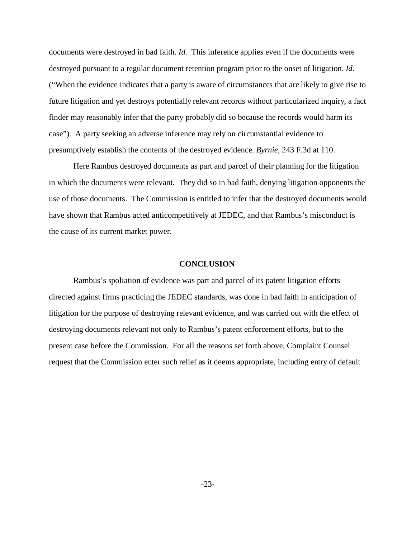documents were destroyed in bad faith. *Id.* This inference applies even if the documents were destroyed pursuant to a regular document retention program prior to the onset of litigation. *Id.* ("When the evidence indicates that a party is aware of circumstances that are likely to give rise to future litigation and yet destroys potentially relevant records without particularized inquiry, a fact finder may reasonably infer that the party probably did so because the records would harm its case"). A party seeking an adverse inference may rely on circumstantial evidence to presumptively establish the contents of the destroyed evidence. *Byrnie,* 243 F.3d at 110.

Here Rambus destroyed documents as part and parcel of their planning for the litigation in which the documents were relevant. They did so in bad faith, denying litigation opponents the use of those documents. The Commission is entitled to infer that the destroyed documents would have shown that Rambus acted anticompetitively at JEDEC, and that Rambus's misconduct is the cause of its current market power.

#### **CONCLUSION**

Rambus's spoliation of evidence was part and parcel of its patent litigation efforts directed against firms practicing the JEDEC standards, was done in bad faith in anticipation of litigation for the purpose of destroying relevant evidence, and was carried out with the effect of destroying documents relevant not only to Rambus's patent enforcement efforts, but to the present case before the Commission. For all the reasons set forth above, Complaint Counsel request that the Commission enter such relief as it deems appropriate, including entry of default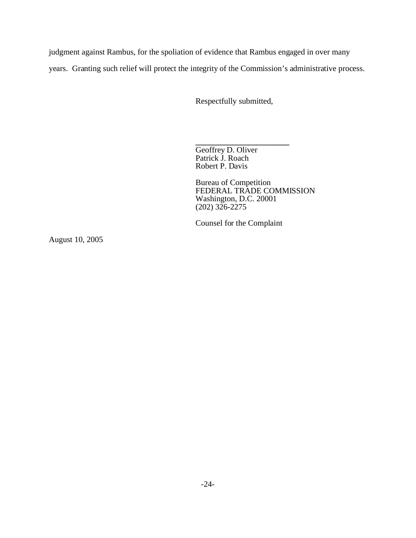judgment against Rambus, for the spoliation of evidence that Rambus engaged in over many

years. Granting such relief will protect the integrity of the Commission's administrative process.

Respectfully submitted,

**\_\_\_\_\_\_\_\_\_\_\_\_\_\_\_\_\_\_\_\_\_\_\_**  Geoffrey D. Oliver Patrick J. Roach Robert P. Davis

Bureau of Competition FEDERAL TRADE COMMISSION Washington, D.C. 20001 (202) 326-2275

Counsel for the Complaint

August 10, 2005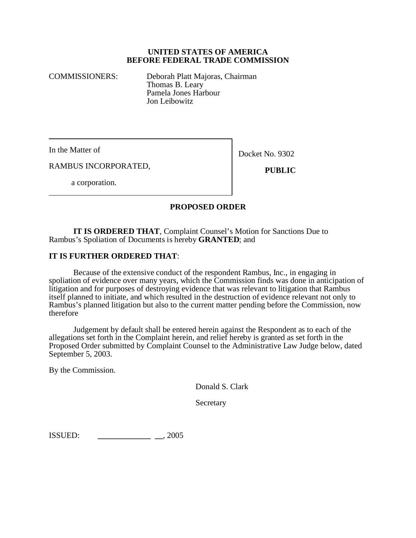## **UNITED STATES OF AMERICA BEFORE FEDERAL TRADE COMMISSION**

COMMISSIONERS: Deborah Platt Majoras, Chairman Thomas B. Leary Pamela Jones Harbour Jon Leibowitz

In the Matter of

Docket No. 9302

RAMBUS INCORPORATED,

 **PUBLIC**

a corporation.

# **PROPOSED ORDER**

**IT IS ORDERED THAT**, Complaint Counsel's Motion for Sanctions Due to Rambus's Spoliation of Documents is hereby **GRANTED**; and

# **IT IS FURTHER ORDERED THAT**:

Because of the extensive conduct of the respondent Rambus, Inc., in engaging in spoliation of evidence over many years, which the Commission finds was done in anticipation of litigation and for purposes of destroying evidence that was relevant to litigation that Rambus itself planned to initiate, and which resulted in the destruction of evidence relevant not only to Rambus's planned litigation but also to the current matter pending before the Commission, now therefore

Judgement by default shall be entered herein against the Respondent as to each of the allegations set forth in the Complaint herein, and relief hereby is granted as set forth in the Proposed Order submitted by Complaint Counsel to the Administrative Law Judge below, dated September 5, 2003.

By the Commission.

Donald S. Clark

Secretary

ISSUED: **\_\_\_\_\_\_\_\_\_\_\_\_\_ \_\_**, 2005